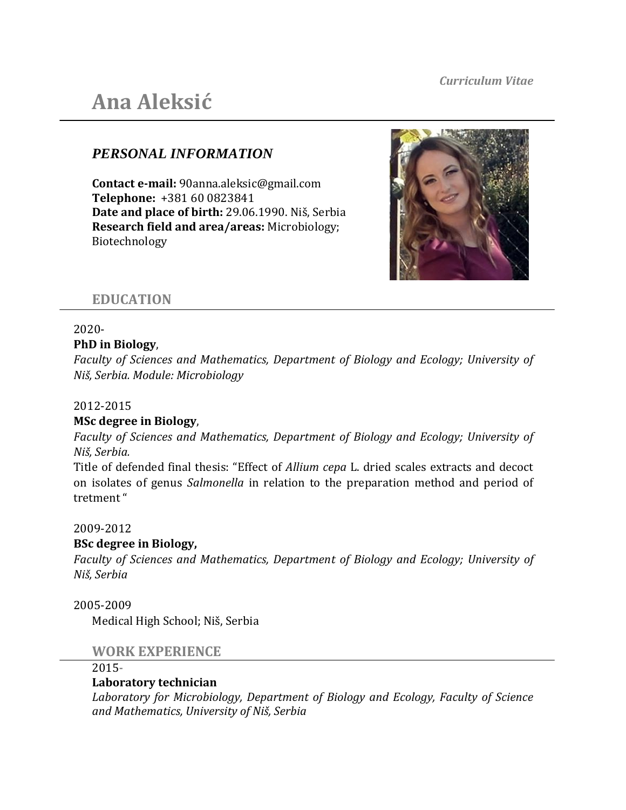# **Ana Aleksić**

# *PERSONAL INFORMATION*

**Contact e-mail:** 90anna.aleksic@gmail.com **Telephone:**+381 60 0823841 **Date and place of birth:** 29.06.1990. Niš, Serbia **Research field and area/areas:** Microbiology; Biotechnology



## **EDUCATION**

#### 2020- **PhD in Biology**,

*Faculty of Sciences and Mathematics, Department of Biology and Ecology; University of Niš, Serbia. Module: Microbiology*

## 2012-2015

## **MSc degree in Biology**,

*Faculty of Sciences and Mathematics, Department of Biology and Ecology; University of Niš, Serbia.* 

Title of defended final thesis: "Effect of *Allium cepa* L. dried scales extracts and decoct on isolates of genus *Salmonella* in relation to the preparation method and period of tretment "

## 2009-2012

## **BSc degree in Biology,**

*Faculty of Sciences and Mathematics, Department of Biology and Ecology; University of Niš, Serbia*

## 2005-2009

Medical High School; Niš, Serbia

## **WORK EXPERIENCE**

#### 2015**-**

## **Laboratory technician**

*Laboratory for Microbiology, Department of Biology and Ecology, Faculty of Science and Mathematics, University of Niš, Serbia*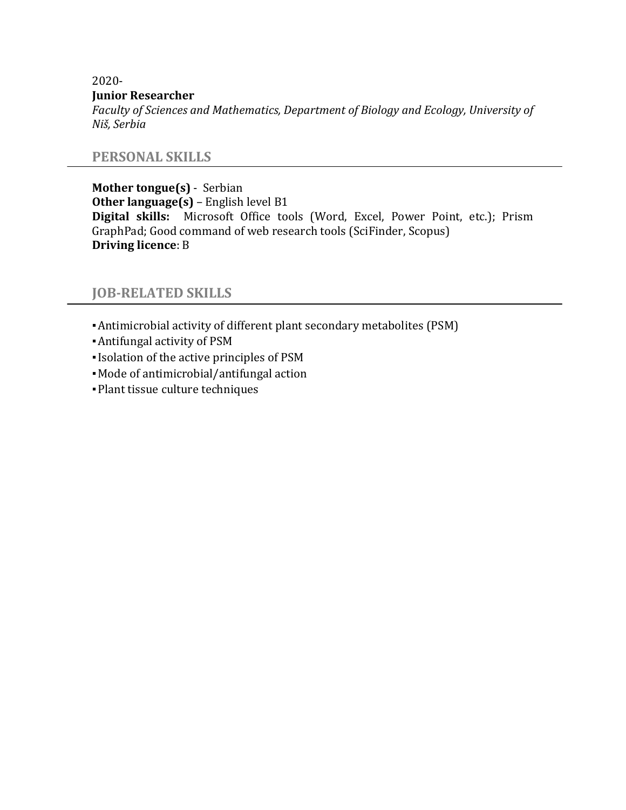2020-

#### **Junior Researcher**

*Faculty of Sciences and Mathematics, Department of Biology and Ecology, University of Niš, Serbia*

## **PERSONAL SKILLS**

**Mother tongue(s)** - Serbian **Other language(s)** – English level B1 **Digital skills:** Microsoft Office tools (Word, Excel, Power Point, etc.); Prism GraphPad; Good command of web research tools (SciFinder, Scopus) **Driving licence**: B

## **JOB-RELATED SKILLS**

- ▪Antimicrobial activity of different plant secondary metabolites (PSM)
- ▪Antifungal activity of PSM
- ▪Isolation of the active principles of PSM
- ▪Mode of antimicrobial/antifungal action
- ▪Plant tissue culture techniques